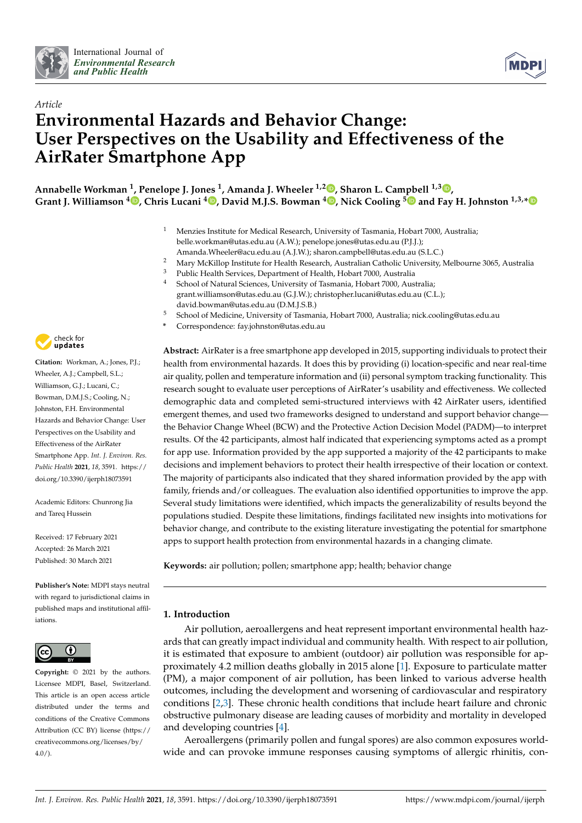



# *Article* **Environmental Hazards and Behavior Change: User Perspectives on the Usability and Effectiveness of the AirRater Smartphone App**

**Annabelle Workman <sup>1</sup> , Penelope J. Jones <sup>1</sup> , Amanda J. Wheeler 1,2 [,](https://orcid.org/0000-0001-9288-8163) Sharon L. Campbell 1,3 [,](https://orcid.org/0000-0002-9788-5372) Grant J. Williamson <sup>4</sup> [,](https://orcid.org/0000-0002-3469-7550) Chris Lucani <sup>4</sup> [,](https://orcid.org/0000-0001-8983-3575) David M.J.S. Bowman <sup>4</sup> [,](https://orcid.org/0000-0001-8075-124X) Nick Cooling [5](https://orcid.org/0000-0003-3211-1656) and Fay H. Johnston 1,3,[\\*](https://orcid.org/0000-0002-5150-8678)**

- <sup>1</sup> Menzies Institute for Medical Research, University of Tasmania, Hobart 7000, Australia; belle.workman@utas.edu.au (A.W.); penelope.jones@utas.edu.au (P.J.J.); Amanda.Wheeler@acu.edu.au (A.J.W.); sharon.campbell@utas.edu.au (S.L.C.)
- <sup>2</sup> Mary McKillop Institute for Health Research, Australian Catholic University, Melbourne 3065, Australia
- <sup>3</sup> Public Health Services, Department of Health, Hobart 7000, Australia<br><sup>4</sup> School of Natural Sciences, University of Termania, Hobart 7000, Aust
- <sup>4</sup> School of Natural Sciences, University of Tasmania, Hobart 7000, Australia; grant.williamson@utas.edu.au (G.J.W.); christopher.lucani@utas.edu.au (C.L.); david.bowman@utas.edu.au (D.M.J.S.B.)
- <sup>5</sup> School of Medicine, University of Tasmania, Hobart 7000, Australia; nick.cooling@utas.edu.au
	- **\*** Correspondence: fay.johnston@utas.edu.au

**Abstract:** AirRater is a free smartphone app developed in 2015, supporting individuals to protect their health from environmental hazards. It does this by providing (i) location-specific and near real-time air quality, pollen and temperature information and (ii) personal symptom tracking functionality. This research sought to evaluate user perceptions of AirRater's usability and effectiveness. We collected demographic data and completed semi-structured interviews with 42 AirRater users, identified emergent themes, and used two frameworks designed to understand and support behavior change the Behavior Change Wheel (BCW) and the Protective Action Decision Model (PADM)—to interpret results. Of the 42 participants, almost half indicated that experiencing symptoms acted as a prompt for app use. Information provided by the app supported a majority of the 42 participants to make decisions and implement behaviors to protect their health irrespective of their location or context. The majority of participants also indicated that they shared information provided by the app with family, friends and/or colleagues. The evaluation also identified opportunities to improve the app. Several study limitations were identified, which impacts the generalizability of results beyond the populations studied. Despite these limitations, findings facilitated new insights into motivations for behavior change, and contribute to the existing literature investigating the potential for smartphone apps to support health protection from environmental hazards in a changing climate.

**Keywords:** air pollution; pollen; smartphone app; health; behavior change

# **1. Introduction**

Air pollution, aeroallergens and heat represent important environmental health hazards that can greatly impact individual and community health. With respect to air pollution, it is estimated that exposure to ambient (outdoor) air pollution was responsible for approximately 4.2 million deaths globally in 2015 alone [\[1\]](#page-16-0). Exposure to particulate matter (PM), a major component of air pollution, has been linked to various adverse health outcomes, including the development and worsening of cardiovascular and respiratory conditions [\[2](#page-16-1)[,3\]](#page-16-2). These chronic health conditions that include heart failure and chronic obstructive pulmonary disease are leading causes of morbidity and mortality in developed and developing countries [\[4\]](#page-16-3).

Aeroallergens (primarily pollen and fungal spores) are also common exposures worldwide and can provoke immune responses causing symptoms of allergic rhinitis, con-



**Citation:** Workman, A.; Jones, P.J.; Wheeler, A.J.; Campbell, S.L.; Williamson, G.J.; Lucani, C.; Bowman, D.M.J.S.; Cooling, N.; Johnston, F.H. Environmental Hazards and Behavior Change: User Perspectives on the Usability and Effectiveness of the AirRater Smartphone App. *Int. J. Environ. Res. Public Health* **2021**, *18*, 3591. [https://](https://doi.org/10.3390/ijerph18073591) [doi.org/10.3390/ijerph18073591](https://doi.org/10.3390/ijerph18073591)

Academic Editors: Chunrong Jia and Tareg Hussein

Received: 17 February 2021 Accepted: 26 March 2021 Published: 30 March 2021

**Publisher's Note:** MDPI stays neutral with regard to jurisdictional claims in published maps and institutional affiliations.



**Copyright:** © 2021 by the authors. Licensee MDPI, Basel, Switzerland. This article is an open access article distributed under the terms and conditions of the Creative Commons Attribution (CC BY) license (https:/[/](https://creativecommons.org/licenses/by/4.0/) [creativecommons.org/licenses/by/](https://creativecommons.org/licenses/by/4.0/)  $4.0/$ ).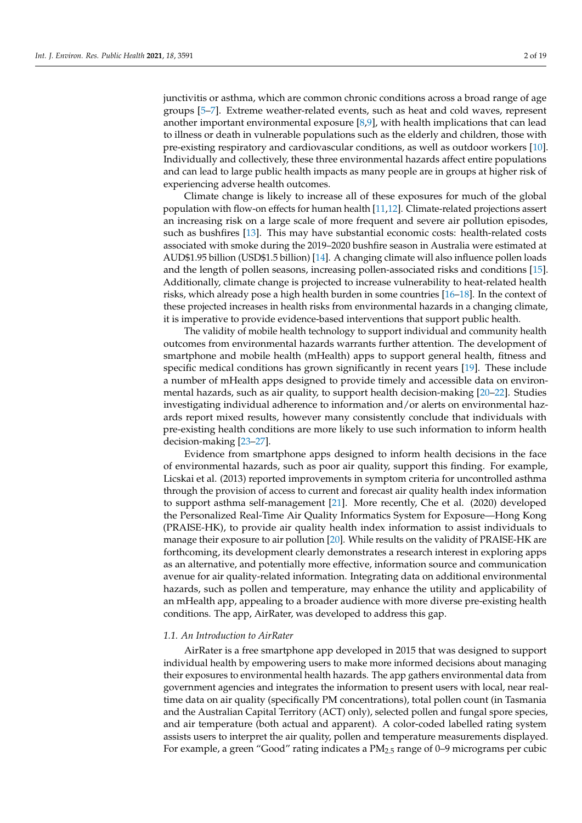junctivitis or asthma, which are common chronic conditions across a broad range of age groups [\[5](#page-16-4)[–7\]](#page-16-5). Extreme weather-related events, such as heat and cold waves, represent another important environmental exposure [\[8,](#page-16-6)[9\]](#page-16-7), with health implications that can lead to illness or death in vulnerable populations such as the elderly and children, those with pre-existing respiratory and cardiovascular conditions, as well as outdoor workers [\[10\]](#page-16-8). Individually and collectively, these three environmental hazards affect entire populations and can lead to large public health impacts as many people are in groups at higher risk of experiencing adverse health outcomes.

Climate change is likely to increase all of these exposures for much of the global population with flow-on effects for human health [\[11](#page-17-0)[,12\]](#page-17-1). Climate-related projections assert an increasing risk on a large scale of more frequent and severe air pollution episodes, such as bushfires [\[13\]](#page-17-2). This may have substantial economic costs: health-related costs associated with smoke during the 2019–2020 bushfire season in Australia were estimated at AUD\$1.95 billion (USD\$1.5 billion) [\[14\]](#page-17-3). A changing climate will also influence pollen loads and the length of pollen seasons, increasing pollen-associated risks and conditions [\[15\]](#page-17-4). Additionally, climate change is projected to increase vulnerability to heat-related health risks, which already pose a high health burden in some countries [\[16](#page-17-5)[–18\]](#page-17-6). In the context of these projected increases in health risks from environmental hazards in a changing climate, it is imperative to provide evidence-based interventions that support public health.

The validity of mobile health technology to support individual and community health outcomes from environmental hazards warrants further attention. The development of smartphone and mobile health (mHealth) apps to support general health, fitness and specific medical conditions has grown significantly in recent years [\[19\]](#page-17-7). These include a number of mHealth apps designed to provide timely and accessible data on environmental hazards, such as air quality, to support health decision-making [\[20](#page-17-8)[–22\]](#page-17-9). Studies investigating individual adherence to information and/or alerts on environmental hazards report mixed results, however many consistently conclude that individuals with pre-existing health conditions are more likely to use such information to inform health decision-making [\[23](#page-17-10)[–27\]](#page-17-11).

Evidence from smartphone apps designed to inform health decisions in the face of environmental hazards, such as poor air quality, support this finding. For example, Licskai et al. (2013) reported improvements in symptom criteria for uncontrolled asthma through the provision of access to current and forecast air quality health index information to support asthma self-management [\[21\]](#page-17-12). More recently, Che et al. (2020) developed the Personalized Real-Time Air Quality Informatics System for Exposure—Hong Kong (PRAISE-HK), to provide air quality health index information to assist individuals to manage their exposure to air pollution [\[20\]](#page-17-8). While results on the validity of PRAISE-HK are forthcoming, its development clearly demonstrates a research interest in exploring apps as an alternative, and potentially more effective, information source and communication avenue for air quality-related information. Integrating data on additional environmental hazards, such as pollen and temperature, may enhance the utility and applicability of an mHealth app, appealing to a broader audience with more diverse pre-existing health conditions. The app, AirRater, was developed to address this gap.

#### *1.1. An Introduction to AirRater*

AirRater is a free smartphone app developed in 2015 that was designed to support individual health by empowering users to make more informed decisions about managing their exposures to environmental health hazards. The app gathers environmental data from government agencies and integrates the information to present users with local, near realtime data on air quality (specifically PM concentrations), total pollen count (in Tasmania and the Australian Capital Territory (ACT) only), selected pollen and fungal spore species, and air temperature (both actual and apparent). A color-coded labelled rating system assists users to interpret the air quality, pollen and temperature measurements displayed. For example, a green "Good" rating indicates a  $PM_{2.5}$  range of 0–9 micrograms per cubic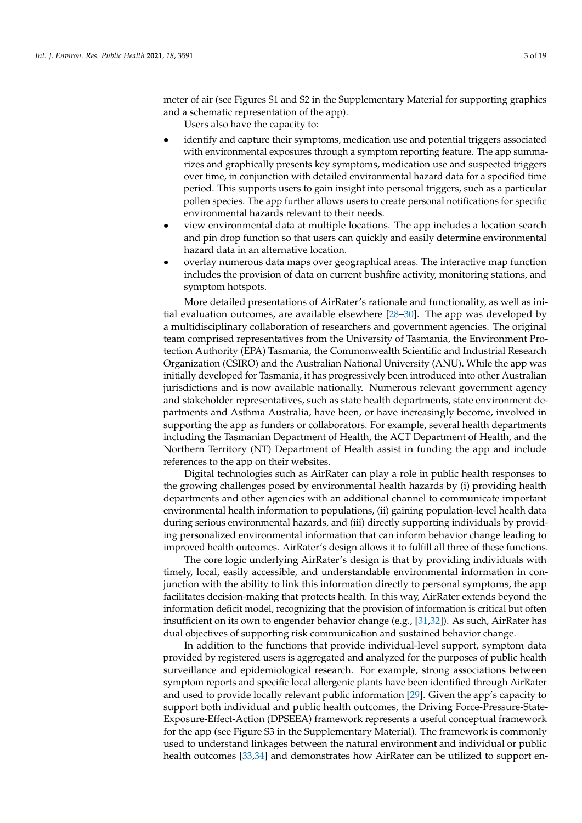meter of air (see Figures S1 and S2 in the Supplementary Material for supporting graphics and a schematic representation of the app).

Users also have the capacity to:

- identify and capture their symptoms, medication use and potential triggers associated with environmental exposures through a symptom reporting feature. The app summarizes and graphically presents key symptoms, medication use and suspected triggers over time, in conjunction with detailed environmental hazard data for a specified time period. This supports users to gain insight into personal triggers, such as a particular pollen species. The app further allows users to create personal notifications for specific environmental hazards relevant to their needs.
- view environmental data at multiple locations. The app includes a location search and pin drop function so that users can quickly and easily determine environmental hazard data in an alternative location.
- overlay numerous data maps over geographical areas. The interactive map function includes the provision of data on current bushfire activity, monitoring stations, and symptom hotspots.

More detailed presentations of AirRater's rationale and functionality, as well as initial evaluation outcomes, are available elsewhere [\[28](#page-17-13)[–30\]](#page-17-14). The app was developed by a multidisciplinary collaboration of researchers and government agencies. The original team comprised representatives from the University of Tasmania, the Environment Protection Authority (EPA) Tasmania, the Commonwealth Scientific and Industrial Research Organization (CSIRO) and the Australian National University (ANU). While the app was initially developed for Tasmania, it has progressively been introduced into other Australian jurisdictions and is now available nationally. Numerous relevant government agency and stakeholder representatives, such as state health departments, state environment departments and Asthma Australia, have been, or have increasingly become, involved in supporting the app as funders or collaborators. For example, several health departments including the Tasmanian Department of Health, the ACT Department of Health, and the Northern Territory (NT) Department of Health assist in funding the app and include references to the app on their websites.

Digital technologies such as AirRater can play a role in public health responses to the growing challenges posed by environmental health hazards by (i) providing health departments and other agencies with an additional channel to communicate important environmental health information to populations, (ii) gaining population-level health data during serious environmental hazards, and (iii) directly supporting individuals by providing personalized environmental information that can inform behavior change leading to improved health outcomes. AirRater's design allows it to fulfill all three of these functions.

The core logic underlying AirRater's design is that by providing individuals with timely, local, easily accessible, and understandable environmental information in conjunction with the ability to link this information directly to personal symptoms, the app facilitates decision-making that protects health. In this way, AirRater extends beyond the information deficit model, recognizing that the provision of information is critical but often insufficient on its own to engender behavior change (e.g., [\[31](#page-17-15)[,32\]](#page-17-16)). As such, AirRater has dual objectives of supporting risk communication and sustained behavior change.

In addition to the functions that provide individual-level support, symptom data provided by registered users is aggregated and analyzed for the purposes of public health surveillance and epidemiological research. For example, strong associations between symptom reports and specific local allergenic plants have been identified through AirRater and used to provide locally relevant public information [\[29\]](#page-17-17). Given the app's capacity to support both individual and public health outcomes, the Driving Force-Pressure-State-Exposure-Effect-Action (DPSEEA) framework represents a useful conceptual framework for the app (see Figure S3 in the Supplementary Material). The framework is commonly used to understand linkages between the natural environment and individual or public health outcomes [\[33,](#page-17-18)[34\]](#page-17-19) and demonstrates how AirRater can be utilized to support en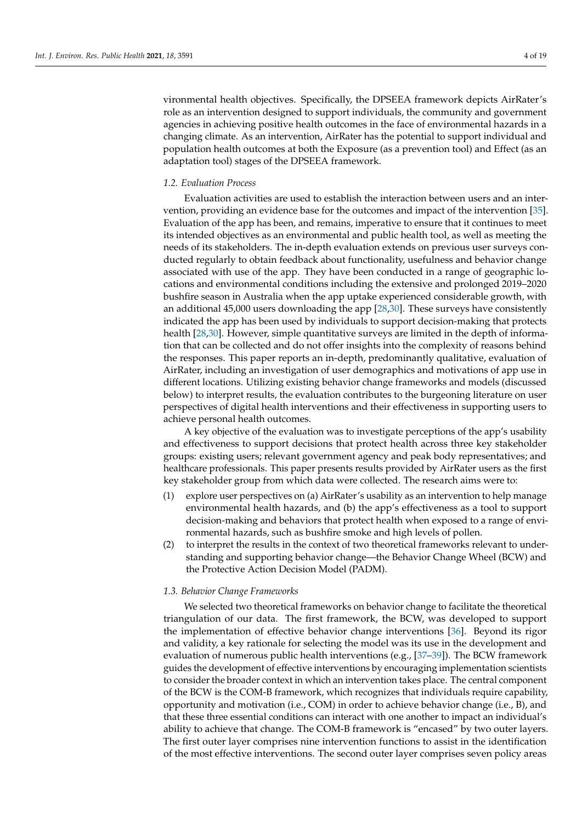vironmental health objectives. Specifically, the DPSEEA framework depicts AirRater's role as an intervention designed to support individuals, the community and government agencies in achieving positive health outcomes in the face of environmental hazards in a changing climate. As an intervention, AirRater has the potential to support individual and population health outcomes at both the Exposure (as a prevention tool) and Effect (as an adaptation tool) stages of the DPSEEA framework.

### *1.2. Evaluation Process*

Evaluation activities are used to establish the interaction between users and an intervention, providing an evidence base for the outcomes and impact of the intervention [\[35\]](#page-17-20). Evaluation of the app has been, and remains, imperative to ensure that it continues to meet its intended objectives as an environmental and public health tool, as well as meeting the needs of its stakeholders. The in-depth evaluation extends on previous user surveys conducted regularly to obtain feedback about functionality, usefulness and behavior change associated with use of the app. They have been conducted in a range of geographic locations and environmental conditions including the extensive and prolonged 2019–2020 bushfire season in Australia when the app uptake experienced considerable growth, with an additional 45,000 users downloading the app [\[28,](#page-17-13)[30\]](#page-17-14). These surveys have consistently indicated the app has been used by individuals to support decision-making that protects health [\[28](#page-17-13)[,30\]](#page-17-14). However, simple quantitative surveys are limited in the depth of information that can be collected and do not offer insights into the complexity of reasons behind the responses. This paper reports an in-depth, predominantly qualitative, evaluation of AirRater, including an investigation of user demographics and motivations of app use in different locations. Utilizing existing behavior change frameworks and models (discussed below) to interpret results, the evaluation contributes to the burgeoning literature on user perspectives of digital health interventions and their effectiveness in supporting users to achieve personal health outcomes.

A key objective of the evaluation was to investigate perceptions of the app's usability and effectiveness to support decisions that protect health across three key stakeholder groups: existing users; relevant government agency and peak body representatives; and healthcare professionals. This paper presents results provided by AirRater users as the first key stakeholder group from which data were collected. The research aims were to:

- (1) explore user perspectives on (a) AirRater's usability as an intervention to help manage environmental health hazards, and (b) the app's effectiveness as a tool to support decision-making and behaviors that protect health when exposed to a range of environmental hazards, such as bushfire smoke and high levels of pollen.
- (2) to interpret the results in the context of two theoretical frameworks relevant to understanding and supporting behavior change—the Behavior Change Wheel (BCW) and the Protective Action Decision Model (PADM).

#### *1.3. Behavior Change Frameworks*

We selected two theoretical frameworks on behavior change to facilitate the theoretical triangulation of our data. The first framework, the BCW, was developed to support the implementation of effective behavior change interventions [\[36\]](#page-17-21). Beyond its rigor and validity, a key rationale for selecting the model was its use in the development and evaluation of numerous public health interventions (e.g., [\[37–](#page-18-0)[39\]](#page-18-1)). The BCW framework guides the development of effective interventions by encouraging implementation scientists to consider the broader context in which an intervention takes place. The central component of the BCW is the COM-B framework, which recognizes that individuals require capability, opportunity and motivation (i.e., COM) in order to achieve behavior change (i.e., B), and that these three essential conditions can interact with one another to impact an individual's ability to achieve that change. The COM-B framework is "encased" by two outer layers. The first outer layer comprises nine intervention functions to assist in the identification of the most effective interventions. The second outer layer comprises seven policy areas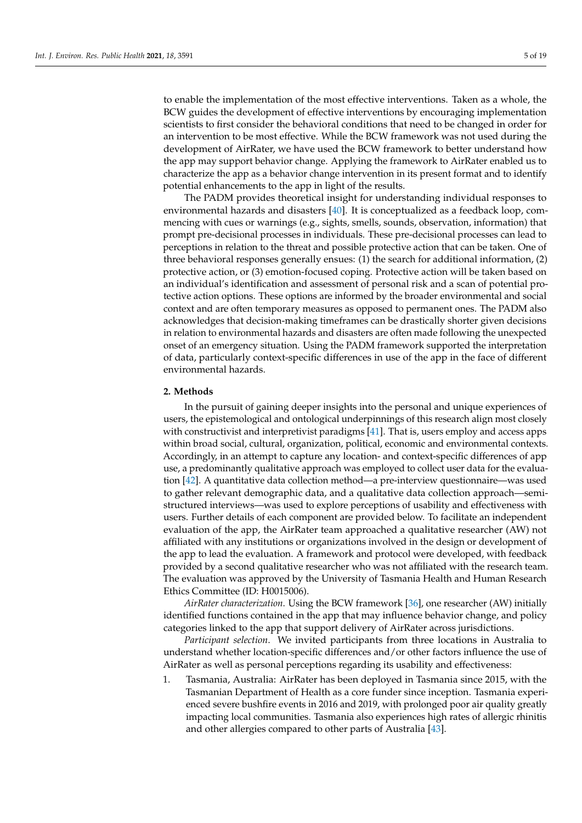to enable the implementation of the most effective interventions. Taken as a whole, the BCW guides the development of effective interventions by encouraging implementation scientists to first consider the behavioral conditions that need to be changed in order for an intervention to be most effective. While the BCW framework was not used during the development of AirRater, we have used the BCW framework to better understand how the app may support behavior change. Applying the framework to AirRater enabled us to characterize the app as a behavior change intervention in its present format and to identify potential enhancements to the app in light of the results.

The PADM provides theoretical insight for understanding individual responses to environmental hazards and disasters [\[40\]](#page-18-2). It is conceptualized as a feedback loop, commencing with cues or warnings (e.g., sights, smells, sounds, observation, information) that prompt pre-decisional processes in individuals. These pre-decisional processes can lead to perceptions in relation to the threat and possible protective action that can be taken. One of three behavioral responses generally ensues: (1) the search for additional information, (2) protective action, or (3) emotion-focused coping. Protective action will be taken based on an individual's identification and assessment of personal risk and a scan of potential protective action options. These options are informed by the broader environmental and social context and are often temporary measures as opposed to permanent ones. The PADM also acknowledges that decision-making timeframes can be drastically shorter given decisions in relation to environmental hazards and disasters are often made following the unexpected onset of an emergency situation. Using the PADM framework supported the interpretation of data, particularly context-specific differences in use of the app in the face of different environmental hazards.

## **2. Methods**

In the pursuit of gaining deeper insights into the personal and unique experiences of users, the epistemological and ontological underpinnings of this research align most closely with constructivist and interpretivist paradigms [\[41\]](#page-18-3). That is, users employ and access apps within broad social, cultural, organization, political, economic and environmental contexts. Accordingly, in an attempt to capture any location- and context-specific differences of app use, a predominantly qualitative approach was employed to collect user data for the evaluation [\[42\]](#page-18-4). A quantitative data collection method—a pre-interview questionnaire—was used to gather relevant demographic data, and a qualitative data collection approach—semistructured interviews—was used to explore perceptions of usability and effectiveness with users. Further details of each component are provided below. To facilitate an independent evaluation of the app, the AirRater team approached a qualitative researcher (AW) not affiliated with any institutions or organizations involved in the design or development of the app to lead the evaluation. A framework and protocol were developed, with feedback provided by a second qualitative researcher who was not affiliated with the research team. The evaluation was approved by the University of Tasmania Health and Human Research Ethics Committee (ID: H0015006).

*AirRater characterization*. Using the BCW framework [\[36\]](#page-17-21), one researcher (AW) initially identified functions contained in the app that may influence behavior change, and policy categories linked to the app that support delivery of AirRater across jurisdictions.

*Participant selection*. We invited participants from three locations in Australia to understand whether location-specific differences and/or other factors influence the use of AirRater as well as personal perceptions regarding its usability and effectiveness:

1. Tasmania, Australia: AirRater has been deployed in Tasmania since 2015, with the Tasmanian Department of Health as a core funder since inception. Tasmania experienced severe bushfire events in 2016 and 2019, with prolonged poor air quality greatly impacting local communities. Tasmania also experiences high rates of allergic rhinitis and other allergies compared to other parts of Australia [\[43\]](#page-18-5).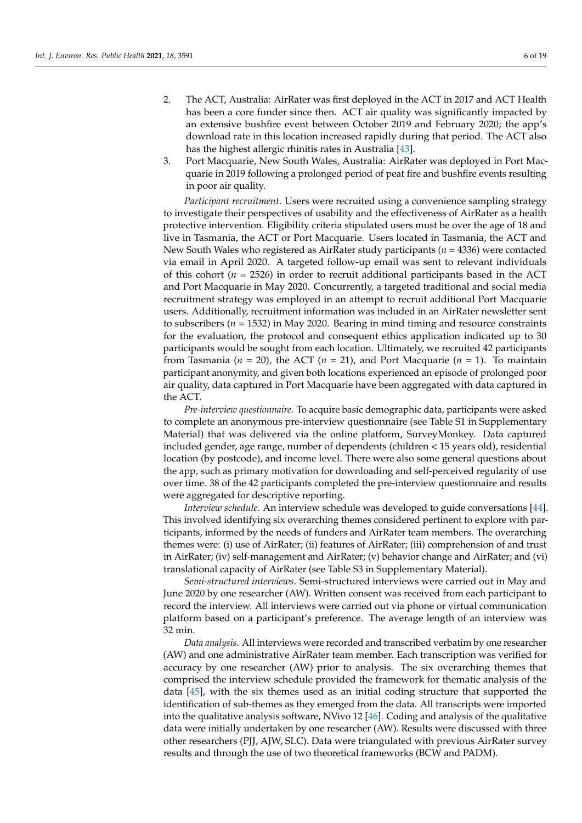- 2. The ACT, Australia: AirRater was first deployed in the ACT in 2017 and ACT Health has been a core funder since then. ACT air quality was significantly impacted by an extensive bushfire event between October 2019 and February 2020; the app's download rate in this location increased rapidly during that period. The ACT also has the highest allergic rhinitis rates in Australia [\[43\]](#page-18-5).
- 3. Port Macquarie, New South Wales, Australia: AirRater was deployed in Port Macquarie in 2019 following a prolonged period of peat fire and bushfire events resulting in poor air quality.

*Participant recruitment*. Users were recruited using a convenience sampling strategy to investigate their perspectives of usability and the effectiveness of AirRater as a health protective intervention. Eligibility criteria stipulated users must be over the age of 18 and live in Tasmania, the ACT or Port Macquarie. Users located in Tasmania, the ACT and New South Wales who registered as AirRater study participants (*n* = 4336) were contacted via email in April 2020. A targeted follow-up email was sent to relevant individuals of this cohort ( $n = 2526$ ) in order to recruit additional participants based in the ACT and Port Macquarie in May 2020. Concurrently, a targeted traditional and social media recruitment strategy was employed in an attempt to recruit additional Port Macquarie users. Additionally, recruitment information was included in an AirRater newsletter sent to subscribers ( $n = 1532$ ) in May 2020. Bearing in mind timing and resource constraints for the evaluation, the protocol and consequent ethics application indicated up to 30 participants would be sought from each location. Ultimately, we recruited 42 participants from Tasmania ( $n = 20$ ), the ACT ( $n = 21$ ), and Port Macquarie ( $n = 1$ ). To maintain participant anonymity, and given both locations experienced an episode of prolonged poor air quality, data captured in Port Macquarie have been aggregated with data captured in the ACT.

*Pre-interview questionnaire*. To acquire basic demographic data, participants were asked to complete an anonymous pre-interview questionnaire (see Table S1 in Supplementary Material) that was delivered via the online platform, SurveyMonkey. Data captured included gender, age range, number of dependents (children < 15 years old), residential location (by postcode), and income level. There were also some general questions about the app, such as primary motivation for downloading and self-perceived regularity of use over time. 38 of the 42 participants completed the pre-interview questionnaire and results were aggregated for descriptive reporting.

*Interview schedule*. An interview schedule was developed to guide conversations [\[44\]](#page-18-6). This involved identifying six overarching themes considered pertinent to explore with participants, informed by the needs of funders and AirRater team members. The overarching themes were: (i) use of AirRater; (ii) features of AirRater; (iii) comprehension of and trust in AirRater; (iv) self-management and AirRater; (v) behavior change and AirRater; and (vi) translational capacity of AirRater (see Table S3 in Supplementary Material).

*Semi-structured interviews*. Semi-structured interviews were carried out in May and June 2020 by one researcher (AW). Written consent was received from each participant to record the interview. All interviews were carried out via phone or virtual communication platform based on a participant's preference. The average length of an interview was 32 min.

*Data analysis*. All interviews were recorded and transcribed verbatim by one researcher (AW) and one administrative AirRater team member. Each transcription was verified for accuracy by one researcher (AW) prior to analysis. The six overarching themes that comprised the interview schedule provided the framework for thematic analysis of the data [\[45\]](#page-18-7), with the six themes used as an initial coding structure that supported the identification of sub-themes as they emerged from the data. All transcripts were imported into the qualitative analysis software, NVivo 12 [\[46\]](#page-18-8). Coding and analysis of the qualitative data were initially undertaken by one researcher (AW). Results were discussed with three other researchers (PJJ, AJW, SLC). Data were triangulated with previous AirRater survey results and through the use of two theoretical frameworks (BCW and PADM).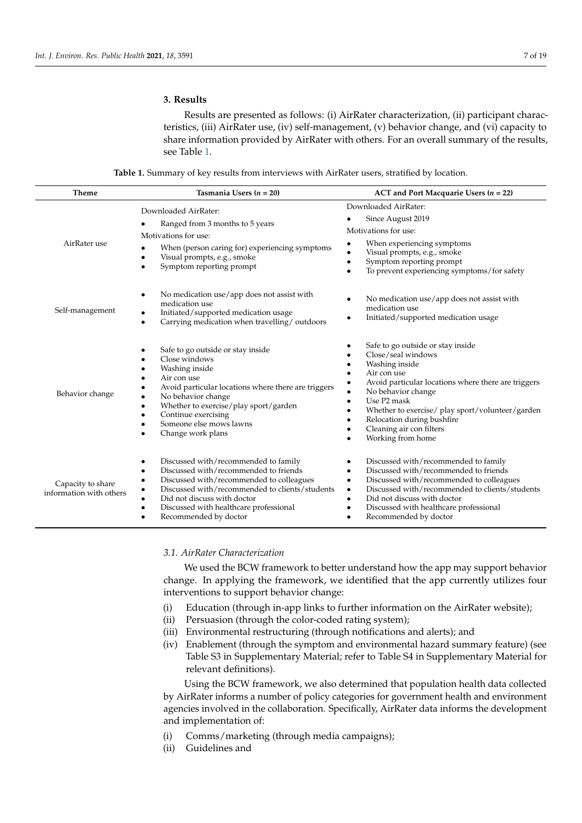# **3. Results**

Results are presented as follows: (i) AirRater characterization, (ii) participant characteristics, (iii) AirRater use, (iv) self-management, (v) behavior change, and (vi) capacity to share information provided by AirRater with others. For an overall summary of the results, see Table [1.](#page-6-0)

|  |  | <b>Table 1.</b> Summary of key results from interviews with AirRater users, stratified by location. |  |  |
|--|--|-----------------------------------------------------------------------------------------------------|--|--|
|--|--|-----------------------------------------------------------------------------------------------------|--|--|

<span id="page-6-0"></span>

| <b>Theme</b>                                 | Tasmania Users ( $n = 20$ )                                                                                                                                                                                                                                                                                                                                 | ACT and Port Macquarie Users $(n = 22)$                                                                                                                                                                                                                                                                                                                                                                          |
|----------------------------------------------|-------------------------------------------------------------------------------------------------------------------------------------------------------------------------------------------------------------------------------------------------------------------------------------------------------------------------------------------------------------|------------------------------------------------------------------------------------------------------------------------------------------------------------------------------------------------------------------------------------------------------------------------------------------------------------------------------------------------------------------------------------------------------------------|
| AirRater use                                 | Downloaded AirRater:<br>Ranged from 3 months to 5 years<br>Motivations for use:<br>When (person caring for) experiencing symptoms<br>Visual prompts, e.g., smoke<br>$\bullet$<br>Symptom reporting prompt<br>$\bullet$                                                                                                                                      | Downloaded AirRater:<br>Since August 2019<br>Motivations for use:<br>When experiencing symptoms<br>Visual prompts, e.g., smoke<br>$\bullet$<br>Symptom reporting prompt<br>$\bullet$<br>To prevent experiencing symptoms/for safety<br>$\bullet$                                                                                                                                                                 |
| Self-management                              | No medication use/app does not assist with<br>$\bullet$<br>medication use<br>Initiated/supported medication usage<br>$\bullet$<br>Carrying medication when travelling/outdoors<br>$\bullet$                                                                                                                                                                 | No medication use/app does not assist with<br>٠<br>medication use<br>Initiated/supported medication usage<br>٠                                                                                                                                                                                                                                                                                                   |
| Behavior change                              | Safe to go outside or stay inside<br>Close windows<br>$\bullet$<br>Washing inside<br>Air con use<br>$\bullet$<br>Avoid particular locations where there are triggers<br>٠<br>No behavior change<br>$\bullet$<br>Whether to exercise/play sport/garden<br>$\bullet$<br>Continue exercising<br>$\bullet$<br>Someone else mows lawns<br>Change work plans      | Safe to go outside or stay inside<br>Close/seal windows<br>$\bullet$<br>Washing inside<br>٠<br>Air con use<br>$\bullet$<br>Avoid particular locations where there are triggers<br>٠<br>No behavior change<br>$\bullet$<br>Use P <sub>2</sub> mask<br>$\bullet$<br>Whether to exercise/ play sport/volunteer/garden<br>٠<br>Relocation during bushfire<br>٠<br>Cleaning air con filters<br>٠<br>Working from home |
| Capacity to share<br>information with others | Discussed with/recommended to family<br>$\bullet$<br>Discussed with/recommended to friends<br>$\bullet$<br>Discussed with/recommended to colleagues<br>$\bullet$<br>Discussed with/recommended to clients/students<br>$\bullet$<br>Did not discuss with doctor<br>$\bullet$<br>Discussed with healthcare professional<br>$\bullet$<br>Recommended by doctor | Discussed with/recommended to family<br>$\bullet$<br>Discussed with/recommended to friends<br>$\bullet$<br>Discussed with/recommended to colleagues<br>٠<br>Discussed with/recommended to clients/students<br>$\bullet$<br>Did not discuss with doctor<br>٠<br>Discussed with healthcare professional<br>٠<br>Recommended by doctor                                                                              |

# *3.1. AirRater Characterization*

We used the BCW framework to better understand how the app may support behavior change. In applying the framework, we identified that the app currently utilizes four interventions to support behavior change:

- (i) Education (through in-app links to further information on the AirRater website);
- (ii) Persuasion (through the color-coded rating system);
- (iii) Environmental restructuring (through notifications and alerts); and
- (iv) Enablement (through the symptom and environmental hazard summary feature) (see Table S3 in Supplementary Material; refer to Table S4 in Supplementary Material for relevant definitions).

Using the BCW framework, we also determined that population health data collected by AirRater informs a number of policy categories for government health and environment agencies involved in the collaboration. Specifically, AirRater data informs the development and implementation of:

- (i) Comms/marketing (through media campaigns);
- (ii) Guidelines and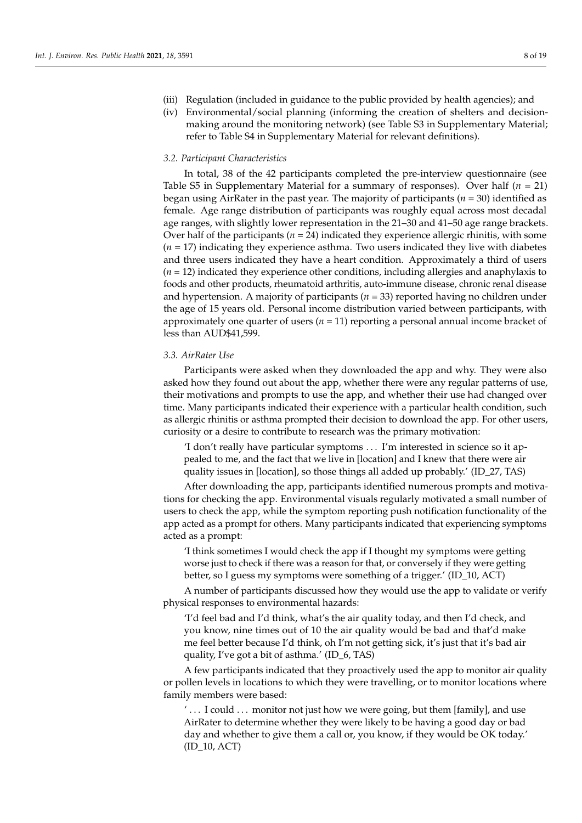- (iii) Regulation (included in guidance to the public provided by health agencies); and
- (iv) Environmental/social planning (informing the creation of shelters and decisionmaking around the monitoring network) (see Table S3 in Supplementary Material; refer to Table S4 in Supplementary Material for relevant definitions).

# *3.2. Participant Characteristics*

In total, 38 of the 42 participants completed the pre-interview questionnaire (see Table S5 in Supplementary Material for a summary of responses). Over half (*n* = 21) began using AirRater in the past year. The majority of participants (*n* = 30) identified as female. Age range distribution of participants was roughly equal across most decadal age ranges, with slightly lower representation in the 21–30 and 41–50 age range brackets. Over half of the participants ( $n = 24$ ) indicated they experience allergic rhinitis, with some  $(n = 17)$  indicating they experience asthma. Two users indicated they live with diabetes and three users indicated they have a heart condition. Approximately a third of users (*n* = 12) indicated they experience other conditions, including allergies and anaphylaxis to foods and other products, rheumatoid arthritis, auto-immune disease, chronic renal disease and hypertension. A majority of participants  $(n = 33)$  reported having no children under the age of 15 years old. Personal income distribution varied between participants, with approximately one quarter of users  $(n = 11)$  reporting a personal annual income bracket of less than AUD\$41,599.

# *3.3. AirRater Use*

Participants were asked when they downloaded the app and why. They were also asked how they found out about the app, whether there were any regular patterns of use, their motivations and prompts to use the app, and whether their use had changed over time. Many participants indicated their experience with a particular health condition, such as allergic rhinitis or asthma prompted their decision to download the app. For other users, curiosity or a desire to contribute to research was the primary motivation:

'I don't really have particular symptoms . . . I'm interested in science so it appealed to me, and the fact that we live in [location] and I knew that there were air quality issues in [location], so those things all added up probably.' (ID\_27, TAS)

After downloading the app, participants identified numerous prompts and motivations for checking the app. Environmental visuals regularly motivated a small number of users to check the app, while the symptom reporting push notification functionality of the app acted as a prompt for others. Many participants indicated that experiencing symptoms acted as a prompt:

'I think sometimes I would check the app if I thought my symptoms were getting worse just to check if there was a reason for that, or conversely if they were getting better, so I guess my symptoms were something of a trigger.' (ID\_10, ACT)

A number of participants discussed how they would use the app to validate or verify physical responses to environmental hazards:

'I'd feel bad and I'd think, what's the air quality today, and then I'd check, and you know, nine times out of 10 the air quality would be bad and that'd make me feel better because I'd think, oh I'm not getting sick, it's just that it's bad air quality, I've got a bit of asthma.' (ID\_6, TAS)

A few participants indicated that they proactively used the app to monitor air quality or pollen levels in locations to which they were travelling, or to monitor locations where family members were based:

' . . . I could . . . monitor not just how we were going, but them [family], and use AirRater to determine whether they were likely to be having a good day or bad day and whether to give them a call or, you know, if they would be OK today.' (ID\_10, ACT)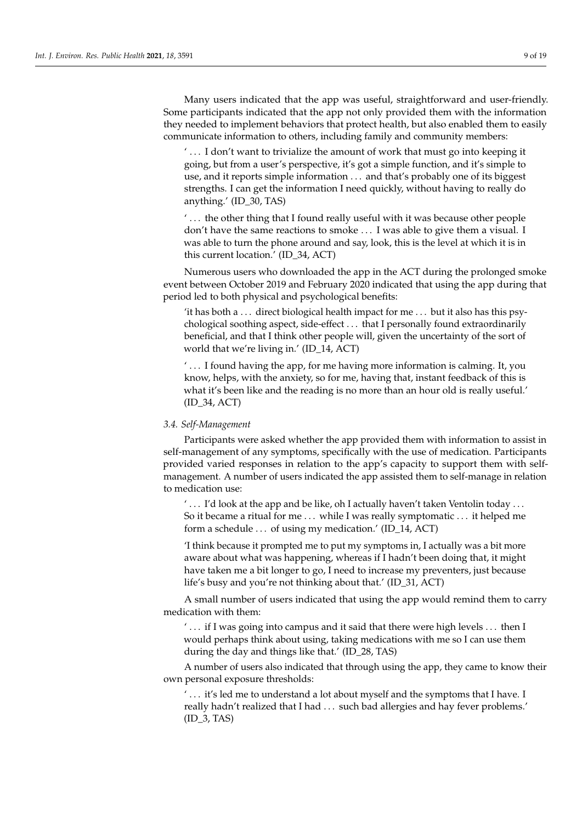Many users indicated that the app was useful, straightforward and user-friendly. Some participants indicated that the app not only provided them with the information they needed to implement behaviors that protect health, but also enabled them to easily communicate information to others, including family and community members:

' . . . I don't want to trivialize the amount of work that must go into keeping it going, but from a user's perspective, it's got a simple function, and it's simple to use, and it reports simple information . . . and that's probably one of its biggest strengths. I can get the information I need quickly, without having to really do anything.' (ID\_30, TAS)

' . . . the other thing that I found really useful with it was because other people don't have the same reactions to smoke . . . I was able to give them a visual. I was able to turn the phone around and say, look, this is the level at which it is in this current location.' (ID\_34, ACT)

Numerous users who downloaded the app in the ACT during the prolonged smoke event between October 2019 and February 2020 indicated that using the app during that period led to both physical and psychological benefits:

'it has both a  $\dots$  direct biological health impact for me  $\dots$  but it also has this psychological soothing aspect, side-effect . . . that I personally found extraordinarily beneficial, and that I think other people will, given the uncertainty of the sort of world that we're living in.' (ID\_14, ACT)

' . . . I found having the app, for me having more information is calming. It, you know, helps, with the anxiety, so for me, having that, instant feedback of this is what it's been like and the reading is no more than an hour old is really useful.' (ID\_34, ACT)

# *3.4. Self-Management*

Participants were asked whether the app provided them with information to assist in self-management of any symptoms, specifically with the use of medication. Participants provided varied responses in relation to the app's capacity to support them with selfmanagement. A number of users indicated the app assisted them to self-manage in relation to medication use:

 $' \ldots$  I'd look at the app and be like, oh I actually haven't taken Ventolin today  $\ldots$ So it became a ritual for me . . . while I was really symptomatic . . . it helped me form a schedule . . . of using my medication.' (ID\_14, ACT)

'I think because it prompted me to put my symptoms in, I actually was a bit more aware about what was happening, whereas if I hadn't been doing that, it might have taken me a bit longer to go, I need to increase my preventers, just because life's busy and you're not thinking about that.' (ID\_31, ACT)

A small number of users indicated that using the app would remind them to carry medication with them:

' . . . if I was going into campus and it said that there were high levels . . . then I would perhaps think about using, taking medications with me so I can use them during the day and things like that.' (ID\_28, TAS)

A number of users also indicated that through using the app, they came to know their own personal exposure thresholds:

' . . . it's led me to understand a lot about myself and the symptoms that I have. I really hadn't realized that I had . . . such bad allergies and hay fever problems.' (ID\_3, TAS)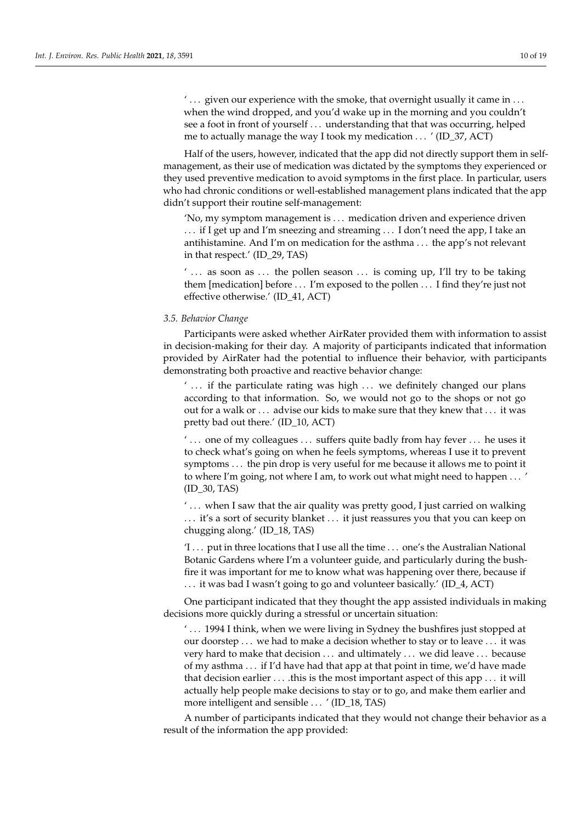$' \dots$  given our experience with the smoke, that overnight usually it came in  $\dots$ when the wind dropped, and you'd wake up in the morning and you couldn't see a foot in front of yourself . . . understanding that that was occurring, helped me to actually manage the way I took my medication . . . ' (ID\_37, ACT)

Half of the users, however, indicated that the app did not directly support them in selfmanagement, as their use of medication was dictated by the symptoms they experienced or they used preventive medication to avoid symptoms in the first place. In particular, users who had chronic conditions or well-established management plans indicated that the app didn't support their routine self-management:

'No, my symptom management is . . . medication driven and experience driven . . . if I get up and I'm sneezing and streaming . . . I don't need the app, I take an antihistamine. And I'm on medication for the asthma . . . the app's not relevant in that respect.' (ID\_29, TAS)

 $' \ldots$  as soon as  $\ldots$  the pollen season  $\ldots$  is coming up, I'll try to be taking them [medication] before . . . I'm exposed to the pollen . . . I find they're just not effective otherwise.' (ID\_41, ACT)

# *3.5. Behavior Change*

Participants were asked whether AirRater provided them with information to assist in decision-making for their day. A majority of participants indicated that information provided by AirRater had the potential to influence their behavior, with participants demonstrating both proactive and reactive behavior change:

 $' \ldots$  if the particulate rating was high  $\ldots$  we definitely changed our plans according to that information. So, we would not go to the shops or not go out for a walk or . . . advise our kids to make sure that they knew that . . . it was pretty bad out there.' (ID\_10, ACT)

 $' \dots$  one of my colleagues  $\dots$  suffers quite badly from hay fever  $\dots$  he uses it to check what's going on when he feels symptoms, whereas I use it to prevent symptoms . . . the pin drop is very useful for me because it allows me to point it to where I'm going, not where I am, to work out what might need to happen . . . ' (ID\_30, TAS)

' . . . when I saw that the air quality was pretty good, I just carried on walking ... it's a sort of security blanket ... it just reassures you that you can keep on chugging along.' (ID\_18, TAS)

'I . . . put in three locations that I use all the time . . . one's the Australian National Botanic Gardens where I'm a volunteer guide, and particularly during the bushfire it was important for me to know what was happening over there, because if . . . it was bad I wasn't going to go and volunteer basically.' (ID\_4, ACT)

One participant indicated that they thought the app assisted individuals in making decisions more quickly during a stressful or uncertain situation:

' . . . 1994 I think, when we were living in Sydney the bushfires just stopped at our doorstep . . . we had to make a decision whether to stay or to leave . . . it was very hard to make that decision . . . and ultimately . . . we did leave . . . because of my asthma . . . if I'd have had that app at that point in time, we'd have made that decision earlier ... .this is the most important aspect of this app ... it will actually help people make decisions to stay or to go, and make them earlier and more intelligent and sensible . . . ' (ID\_18, TAS)

A number of participants indicated that they would not change their behavior as a result of the information the app provided: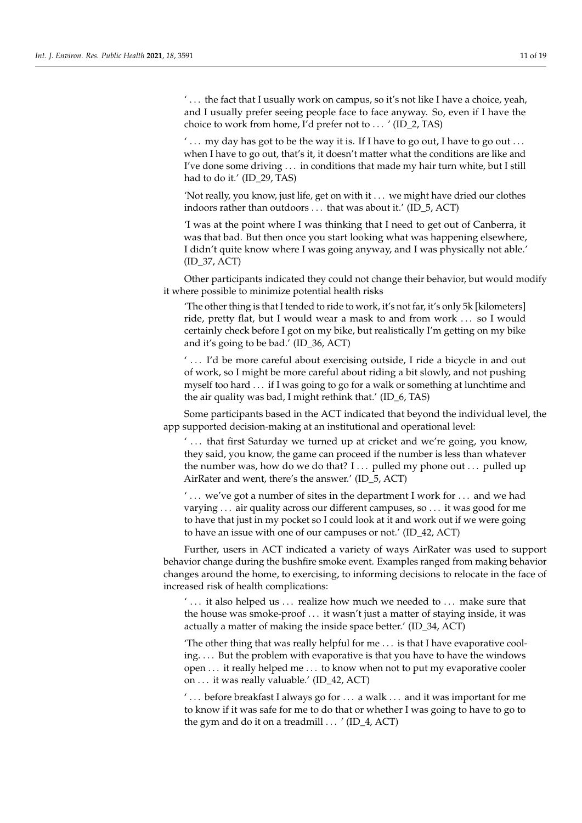'... the fact that I usually work on campus, so it's not like I have a choice, yeah, and I usually prefer seeing people face to face anyway. So, even if I have the choice to work from home, I'd prefer not to . . . ' (ID\_2, TAS)

 $' \dots$  my day has got to be the way it is. If I have to go out, I have to go out  $\dots$ when I have to go out, that's it, it doesn't matter what the conditions are like and I've done some driving . . . in conditions that made my hair turn white, but I still had to do it.' (ID\_29, TAS)

'Not really, you know, just life, get on with it . . . we might have dried our clothes indoors rather than outdoors . . . that was about it.' (ID\_5, ACT)

'I was at the point where I was thinking that I need to get out of Canberra, it was that bad. But then once you start looking what was happening elsewhere, I didn't quite know where I was going anyway, and I was physically not able.' (ID\_37, ACT)

Other participants indicated they could not change their behavior, but would modify it where possible to minimize potential health risks

'The other thing is that I tended to ride to work, it's not far, it's only 5k [kilometers] ride, pretty flat, but I would wear a mask to and from work . . . so I would certainly check before I got on my bike, but realistically I'm getting on my bike and it's going to be bad.' (ID\_36, ACT)

' ... I'd be more careful about exercising outside, I ride a bicycle in and out of work, so I might be more careful about riding a bit slowly, and not pushing myself too hard . . . if I was going to go for a walk or something at lunchtime and the air quality was bad, I might rethink that.' (ID\_6, TAS)

Some participants based in the ACT indicated that beyond the individual level, the app supported decision-making at an institutional and operational level:

' ... that first Saturday we turned up at cricket and we're going, you know, they said, you know, the game can proceed if the number is less than whatever the number was, how do we do that? I ... pulled my phone out ... pulled up AirRater and went, there's the answer.' (ID\_5, ACT)

 $' \ldots$  we've got a number of sites in the department I work for  $\ldots$  and we had varying . . . air quality across our different campuses, so . . . it was good for me to have that just in my pocket so I could look at it and work out if we were going to have an issue with one of our campuses or not.' (ID\_42, ACT)

Further, users in ACT indicated a variety of ways AirRater was used to support behavior change during the bushfire smoke event. Examples ranged from making behavior changes around the home, to exercising, to informing decisions to relocate in the face of increased risk of health complications:

 $' \dots$  it also helped us  $\dots$  realize how much we needed to  $\dots$  make sure that the house was smoke-proof . . . it wasn't just a matter of staying inside, it was actually a matter of making the inside space better.' (ID\_34, ACT)

'The other thing that was really helpful for me . . . is that I have evaporative cooling. . . . But the problem with evaporative is that you have to have the windows open . . . it really helped me . . . to know when not to put my evaporative cooler on . . . it was really valuable.' (ID\_42, ACT)

 $\dotsc$  before breakfast I always go for  $\dotsc$  a walk  $\dotsc$  and it was important for me to know if it was safe for me to do that or whether I was going to have to go to the gym and do it on a treadmill  $\ldots$  ' (ID\_4, ACT)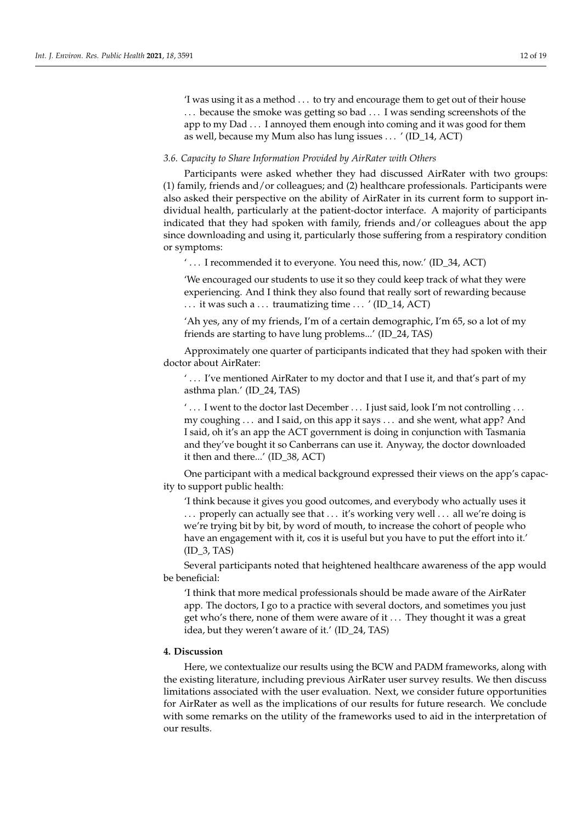'I was using it as a method . . . to try and encourage them to get out of their house ... because the smoke was getting so bad ... I was sending screenshots of the app to my Dad . . . I annoyed them enough into coming and it was good for them as well, because my Mum also has lung issues . . . ' (ID\_14, ACT)

# *3.6. Capacity to Share Information Provided by AirRater with Others*

Participants were asked whether they had discussed AirRater with two groups: (1) family, friends and/or colleagues; and (2) healthcare professionals. Participants were also asked their perspective on the ability of AirRater in its current form to support individual health, particularly at the patient-doctor interface. A majority of participants indicated that they had spoken with family, friends and/or colleagues about the app since downloading and using it, particularly those suffering from a respiratory condition or symptoms:

' . . . I recommended it to everyone. You need this, now.' (ID\_34, ACT)

'We encouraged our students to use it so they could keep track of what they were experiencing. And I think they also found that really sort of rewarding because ... it was such a ... traumatizing time ... ' (ID\_14, ACT)

'Ah yes, any of my friends, I'm of a certain demographic, I'm 65, so a lot of my friends are starting to have lung problems...' (ID\_24, TAS)

Approximately one quarter of participants indicated that they had spoken with their doctor about AirRater:

' . . . I've mentioned AirRater to my doctor and that I use it, and that's part of my asthma plan.' (ID\_24, TAS)

 $\dotsc$  I went to the doctor last December  $\dotsc$  I just said, look I'm not controlling  $\dotsc$ my coughing . . . and I said, on this app it says . . . and she went, what app? And I said, oh it's an app the ACT government is doing in conjunction with Tasmania and they've bought it so Canberrans can use it. Anyway, the doctor downloaded it then and there...' (ID\_38, ACT)

One participant with a medical background expressed their views on the app's capacity to support public health:

'I think because it gives you good outcomes, and everybody who actually uses it ... properly can actually see that ... it's working very well ... all we're doing is we're trying bit by bit, by word of mouth, to increase the cohort of people who have an engagement with it, cos it is useful but you have to put the effort into it.' (ID\_3, TAS)

Several participants noted that heightened healthcare awareness of the app would be beneficial:

'I think that more medical professionals should be made aware of the AirRater app. The doctors, I go to a practice with several doctors, and sometimes you just get who's there, none of them were aware of it . . . They thought it was a great idea, but they weren't aware of it.' (ID\_24, TAS)

## **4. Discussion**

Here, we contextualize our results using the BCW and PADM frameworks, along with the existing literature, including previous AirRater user survey results. We then discuss limitations associated with the user evaluation. Next, we consider future opportunities for AirRater as well as the implications of our results for future research. We conclude with some remarks on the utility of the frameworks used to aid in the interpretation of our results.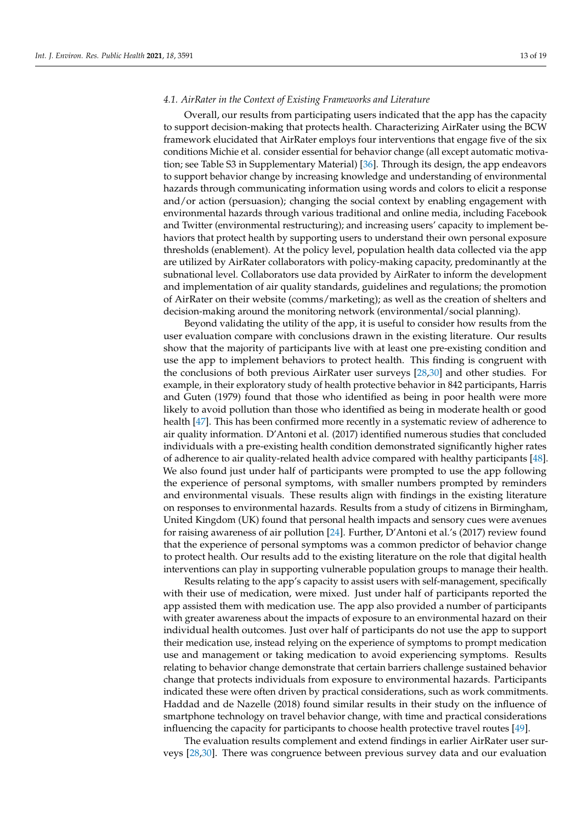## *4.1. AirRater in the Context of Existing Frameworks and Literature*

Overall, our results from participating users indicated that the app has the capacity to support decision-making that protects health. Characterizing AirRater using the BCW framework elucidated that AirRater employs four interventions that engage five of the six conditions Michie et al. consider essential for behavior change (all except automatic motivation; see Table S3 in Supplementary Material) [\[36\]](#page-17-21). Through its design, the app endeavors to support behavior change by increasing knowledge and understanding of environmental hazards through communicating information using words and colors to elicit a response and/or action (persuasion); changing the social context by enabling engagement with environmental hazards through various traditional and online media, including Facebook and Twitter (environmental restructuring); and increasing users' capacity to implement behaviors that protect health by supporting users to understand their own personal exposure thresholds (enablement). At the policy level, population health data collected via the app are utilized by AirRater collaborators with policy-making capacity, predominantly at the subnational level. Collaborators use data provided by AirRater to inform the development and implementation of air quality standards, guidelines and regulations; the promotion of AirRater on their website (comms/marketing); as well as the creation of shelters and decision-making around the monitoring network (environmental/social planning).

Beyond validating the utility of the app, it is useful to consider how results from the user evaluation compare with conclusions drawn in the existing literature. Our results show that the majority of participants live with at least one pre-existing condition and use the app to implement behaviors to protect health. This finding is congruent with the conclusions of both previous AirRater user surveys [\[28](#page-17-13)[,30\]](#page-17-14) and other studies. For example, in their exploratory study of health protective behavior in 842 participants, Harris and Guten (1979) found that those who identified as being in poor health were more likely to avoid pollution than those who identified as being in moderate health or good health [\[47\]](#page-18-9). This has been confirmed more recently in a systematic review of adherence to air quality information. D'Antoni et al. (2017) identified numerous studies that concluded individuals with a pre-existing health condition demonstrated significantly higher rates of adherence to air quality-related health advice compared with healthy participants [\[48\]](#page-18-10). We also found just under half of participants were prompted to use the app following the experience of personal symptoms, with smaller numbers prompted by reminders and environmental visuals. These results align with findings in the existing literature on responses to environmental hazards. Results from a study of citizens in Birmingham, United Kingdom (UK) found that personal health impacts and sensory cues were avenues for raising awareness of air pollution [\[24\]](#page-17-22). Further, D'Antoni et al.'s (2017) review found that the experience of personal symptoms was a common predictor of behavior change to protect health. Our results add to the existing literature on the role that digital health interventions can play in supporting vulnerable population groups to manage their health.

Results relating to the app's capacity to assist users with self-management, specifically with their use of medication, were mixed. Just under half of participants reported the app assisted them with medication use. The app also provided a number of participants with greater awareness about the impacts of exposure to an environmental hazard on their individual health outcomes. Just over half of participants do not use the app to support their medication use, instead relying on the experience of symptoms to prompt medication use and management or taking medication to avoid experiencing symptoms. Results relating to behavior change demonstrate that certain barriers challenge sustained behavior change that protects individuals from exposure to environmental hazards. Participants indicated these were often driven by practical considerations, such as work commitments. Haddad and de Nazelle (2018) found similar results in their study on the influence of smartphone technology on travel behavior change, with time and practical considerations influencing the capacity for participants to choose health protective travel routes [\[49\]](#page-18-11).

The evaluation results complement and extend findings in earlier AirRater user surveys [\[28,](#page-17-13)[30\]](#page-17-14). There was congruence between previous survey data and our evaluation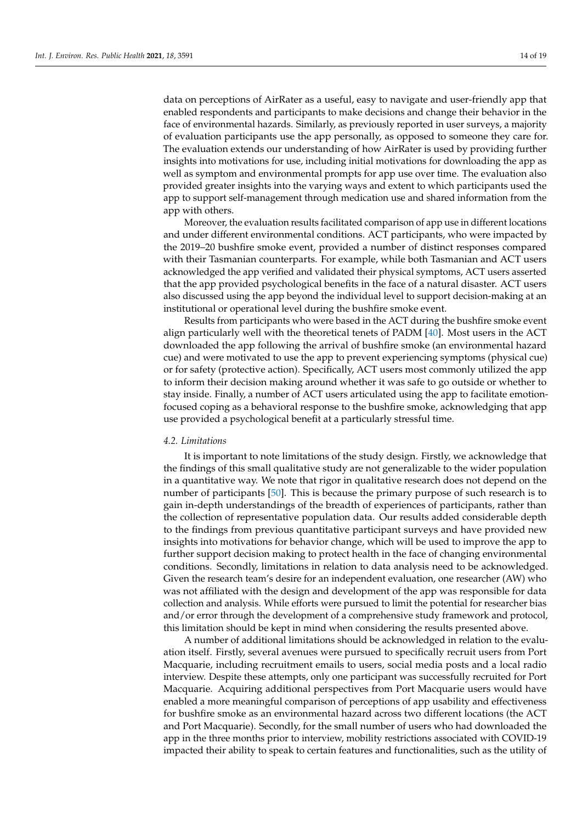data on perceptions of AirRater as a useful, easy to navigate and user-friendly app that enabled respondents and participants to make decisions and change their behavior in the face of environmental hazards. Similarly, as previously reported in user surveys, a majority of evaluation participants use the app personally, as opposed to someone they care for. The evaluation extends our understanding of how AirRater is used by providing further insights into motivations for use, including initial motivations for downloading the app as well as symptom and environmental prompts for app use over time. The evaluation also provided greater insights into the varying ways and extent to which participants used the app to support self-management through medication use and shared information from the app with others.

Moreover, the evaluation results facilitated comparison of app use in different locations and under different environmental conditions. ACT participants, who were impacted by the 2019–20 bushfire smoke event, provided a number of distinct responses compared with their Tasmanian counterparts. For example, while both Tasmanian and ACT users acknowledged the app verified and validated their physical symptoms, ACT users asserted that the app provided psychological benefits in the face of a natural disaster. ACT users also discussed using the app beyond the individual level to support decision-making at an institutional or operational level during the bushfire smoke event.

Results from participants who were based in the ACT during the bushfire smoke event align particularly well with the theoretical tenets of PADM [\[40\]](#page-18-2). Most users in the ACT downloaded the app following the arrival of bushfire smoke (an environmental hazard cue) and were motivated to use the app to prevent experiencing symptoms (physical cue) or for safety (protective action). Specifically, ACT users most commonly utilized the app to inform their decision making around whether it was safe to go outside or whether to stay inside. Finally, a number of ACT users articulated using the app to facilitate emotionfocused coping as a behavioral response to the bushfire smoke, acknowledging that app use provided a psychological benefit at a particularly stressful time.

#### *4.2. Limitations*

It is important to note limitations of the study design. Firstly, we acknowledge that the findings of this small qualitative study are not generalizable to the wider population in a quantitative way. We note that rigor in qualitative research does not depend on the number of participants [\[50\]](#page-18-12). This is because the primary purpose of such research is to gain in-depth understandings of the breadth of experiences of participants, rather than the collection of representative population data. Our results added considerable depth to the findings from previous quantitative participant surveys and have provided new insights into motivations for behavior change, which will be used to improve the app to further support decision making to protect health in the face of changing environmental conditions. Secondly, limitations in relation to data analysis need to be acknowledged. Given the research team's desire for an independent evaluation, one researcher (AW) who was not affiliated with the design and development of the app was responsible for data collection and analysis. While efforts were pursued to limit the potential for researcher bias and/or error through the development of a comprehensive study framework and protocol, this limitation should be kept in mind when considering the results presented above.

A number of additional limitations should be acknowledged in relation to the evaluation itself. Firstly, several avenues were pursued to specifically recruit users from Port Macquarie, including recruitment emails to users, social media posts and a local radio interview. Despite these attempts, only one participant was successfully recruited for Port Macquarie. Acquiring additional perspectives from Port Macquarie users would have enabled a more meaningful comparison of perceptions of app usability and effectiveness for bushfire smoke as an environmental hazard across two different locations (the ACT and Port Macquarie). Secondly, for the small number of users who had downloaded the app in the three months prior to interview, mobility restrictions associated with COVID-19 impacted their ability to speak to certain features and functionalities, such as the utility of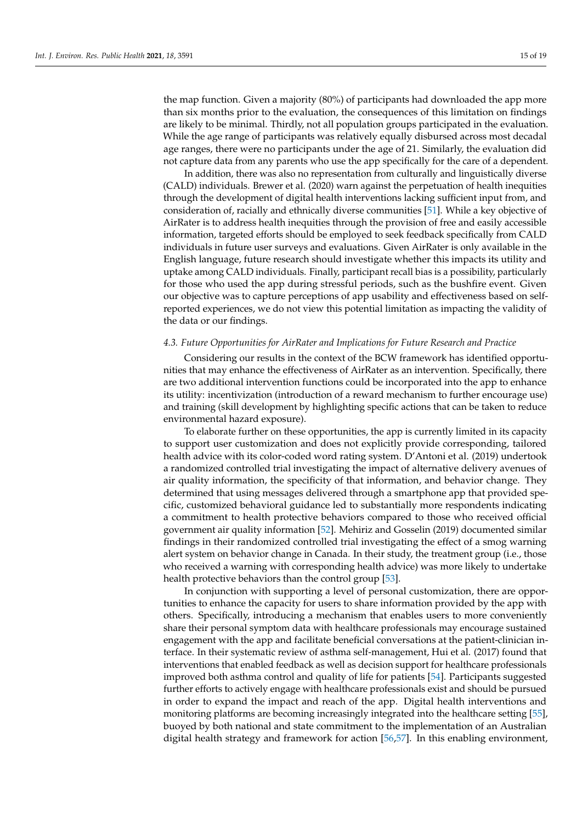the map function. Given a majority (80%) of participants had downloaded the app more than six months prior to the evaluation, the consequences of this limitation on findings are likely to be minimal. Thirdly, not all population groups participated in the evaluation. While the age range of participants was relatively equally disbursed across most decadal age ranges, there were no participants under the age of 21. Similarly, the evaluation did not capture data from any parents who use the app specifically for the care of a dependent.

In addition, there was also no representation from culturally and linguistically diverse (CALD) individuals. Brewer et al. (2020) warn against the perpetuation of health inequities through the development of digital health interventions lacking sufficient input from, and consideration of, racially and ethnically diverse communities [\[51\]](#page-18-13). While a key objective of AirRater is to address health inequities through the provision of free and easily accessible information, targeted efforts should be employed to seek feedback specifically from CALD individuals in future user surveys and evaluations. Given AirRater is only available in the English language, future research should investigate whether this impacts its utility and uptake among CALD individuals. Finally, participant recall bias is a possibility, particularly for those who used the app during stressful periods, such as the bushfire event. Given our objective was to capture perceptions of app usability and effectiveness based on selfreported experiences, we do not view this potential limitation as impacting the validity of the data or our findings.

### *4.3. Future Opportunities for AirRater and Implications for Future Research and Practice*

Considering our results in the context of the BCW framework has identified opportunities that may enhance the effectiveness of AirRater as an intervention. Specifically, there are two additional intervention functions could be incorporated into the app to enhance its utility: incentivization (introduction of a reward mechanism to further encourage use) and training (skill development by highlighting specific actions that can be taken to reduce environmental hazard exposure).

To elaborate further on these opportunities, the app is currently limited in its capacity to support user customization and does not explicitly provide corresponding, tailored health advice with its color-coded word rating system. D'Antoni et al. (2019) undertook a randomized controlled trial investigating the impact of alternative delivery avenues of air quality information, the specificity of that information, and behavior change. They determined that using messages delivered through a smartphone app that provided specific, customized behavioral guidance led to substantially more respondents indicating a commitment to health protective behaviors compared to those who received official government air quality information [\[52\]](#page-18-14). Mehiriz and Gosselin (2019) documented similar findings in their randomized controlled trial investigating the effect of a smog warning alert system on behavior change in Canada. In their study, the treatment group (i.e., those who received a warning with corresponding health advice) was more likely to undertake health protective behaviors than the control group [\[53\]](#page-18-15).

In conjunction with supporting a level of personal customization, there are opportunities to enhance the capacity for users to share information provided by the app with others. Specifically, introducing a mechanism that enables users to more conveniently share their personal symptom data with healthcare professionals may encourage sustained engagement with the app and facilitate beneficial conversations at the patient-clinician interface. In their systematic review of asthma self-management, Hui et al. (2017) found that interventions that enabled feedback as well as decision support for healthcare professionals improved both asthma control and quality of life for patients [\[54\]](#page-18-16). Participants suggested further efforts to actively engage with healthcare professionals exist and should be pursued in order to expand the impact and reach of the app. Digital health interventions and monitoring platforms are becoming increasingly integrated into the healthcare setting [\[55\]](#page-18-17), buoyed by both national and state commitment to the implementation of an Australian digital health strategy and framework for action [\[56](#page-18-18)[,57\]](#page-18-19). In this enabling environment,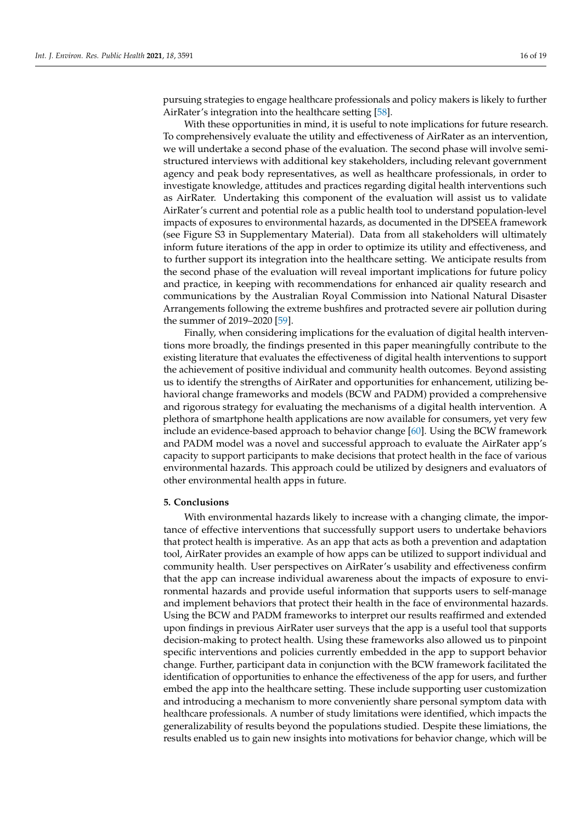pursuing strategies to engage healthcare professionals and policy makers is likely to further AirRater's integration into the healthcare setting [\[58\]](#page-18-20).

With these opportunities in mind, it is useful to note implications for future research. To comprehensively evaluate the utility and effectiveness of AirRater as an intervention, we will undertake a second phase of the evaluation. The second phase will involve semistructured interviews with additional key stakeholders, including relevant government agency and peak body representatives, as well as healthcare professionals, in order to investigate knowledge, attitudes and practices regarding digital health interventions such as AirRater. Undertaking this component of the evaluation will assist us to validate AirRater's current and potential role as a public health tool to understand population-level impacts of exposures to environmental hazards, as documented in the DPSEEA framework (see Figure S3 in Supplementary Material). Data from all stakeholders will ultimately inform future iterations of the app in order to optimize its utility and effectiveness, and to further support its integration into the healthcare setting. We anticipate results from the second phase of the evaluation will reveal important implications for future policy and practice, in keeping with recommendations for enhanced air quality research and communications by the Australian Royal Commission into National Natural Disaster Arrangements following the extreme bushfires and protracted severe air pollution during the summer of 2019–2020 [\[59\]](#page-18-21).

Finally, when considering implications for the evaluation of digital health interventions more broadly, the findings presented in this paper meaningfully contribute to the existing literature that evaluates the effectiveness of digital health interventions to support the achievement of positive individual and community health outcomes. Beyond assisting us to identify the strengths of AirRater and opportunities for enhancement, utilizing behavioral change frameworks and models (BCW and PADM) provided a comprehensive and rigorous strategy for evaluating the mechanisms of a digital health intervention. A plethora of smartphone health applications are now available for consumers, yet very few include an evidence-based approach to behavior change [\[60\]](#page-18-22). Using the BCW framework and PADM model was a novel and successful approach to evaluate the AirRater app's capacity to support participants to make decisions that protect health in the face of various environmental hazards. This approach could be utilized by designers and evaluators of other environmental health apps in future.

## **5. Conclusions**

With environmental hazards likely to increase with a changing climate, the importance of effective interventions that successfully support users to undertake behaviors that protect health is imperative. As an app that acts as both a prevention and adaptation tool, AirRater provides an example of how apps can be utilized to support individual and community health. User perspectives on AirRater's usability and effectiveness confirm that the app can increase individual awareness about the impacts of exposure to environmental hazards and provide useful information that supports users to self-manage and implement behaviors that protect their health in the face of environmental hazards. Using the BCW and PADM frameworks to interpret our results reaffirmed and extended upon findings in previous AirRater user surveys that the app is a useful tool that supports decision-making to protect health. Using these frameworks also allowed us to pinpoint specific interventions and policies currently embedded in the app to support behavior change. Further, participant data in conjunction with the BCW framework facilitated the identification of opportunities to enhance the effectiveness of the app for users, and further embed the app into the healthcare setting. These include supporting user customization and introducing a mechanism to more conveniently share personal symptom data with healthcare professionals. A number of study limitations were identified, which impacts the generalizability of results beyond the populations studied. Despite these limiations, the results enabled us to gain new insights into motivations for behavior change, which will be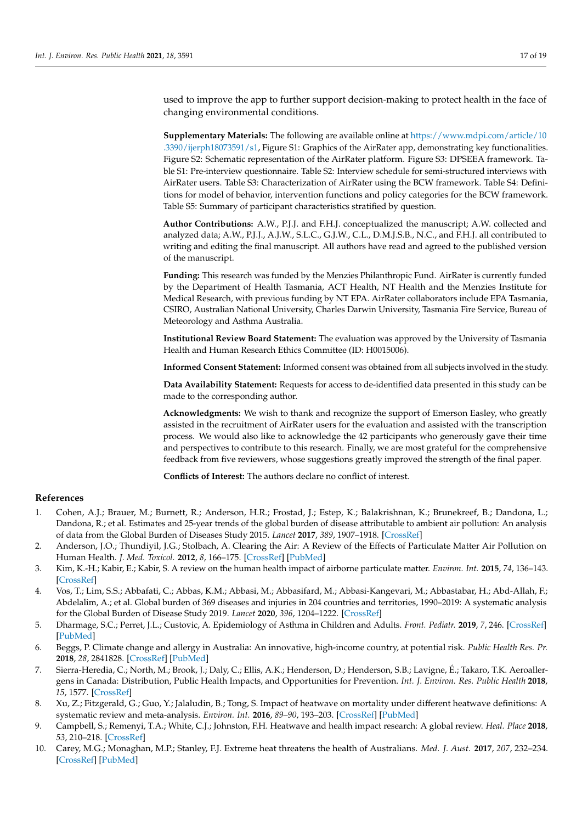used to improve the app to further support decision-making to protect health in the face of changing environmental conditions.

**Supplementary Materials:** The following are available online at [https://www.mdpi.com/article/10](https://www.mdpi.com/article/10.3390/ijerph18073591/s1) [.3390/ijerph18073591/s1,](https://www.mdpi.com/article/10.3390/ijerph18073591/s1) Figure S1: Graphics of the AirRater app, demonstrating key functionalities. Figure S2: Schematic representation of the AirRater platform. Figure S3: DPSEEA framework. Table S1: Pre-interview questionnaire. Table S2: Interview schedule for semi-structured interviews with AirRater users. Table S3: Characterization of AirRater using the BCW framework. Table S4: Definitions for model of behavior, intervention functions and policy categories for the BCW framework. Table S5: Summary of participant characteristics stratified by question.

**Author Contributions:** A.W., P.J.J. and F.H.J. conceptualized the manuscript; A.W. collected and analyzed data; A.W., P.J.J., A.J.W., S.L.C., G.J.W., C.L., D.M.J.S.B., N.C., and F.H.J. all contributed to writing and editing the final manuscript. All authors have read and agreed to the published version of the manuscript.

**Funding:** This research was funded by the Menzies Philanthropic Fund. AirRater is currently funded by the Department of Health Tasmania, ACT Health, NT Health and the Menzies Institute for Medical Research, with previous funding by NT EPA. AirRater collaborators include EPA Tasmania, CSIRO, Australian National University, Charles Darwin University, Tasmania Fire Service, Bureau of Meteorology and Asthma Australia.

**Institutional Review Board Statement:** The evaluation was approved by the University of Tasmania Health and Human Research Ethics Committee (ID: H0015006).

**Informed Consent Statement:** Informed consent was obtained from all subjects involved in the study.

**Data Availability Statement:** Requests for access to de-identified data presented in this study can be made to the corresponding author.

**Acknowledgments:** We wish to thank and recognize the support of Emerson Easley, who greatly assisted in the recruitment of AirRater users for the evaluation and assisted with the transcription process. We would also like to acknowledge the 42 participants who generously gave their time and perspectives to contribute to this research. Finally, we are most grateful for the comprehensive feedback from five reviewers, whose suggestions greatly improved the strength of the final paper.

**Conflicts of Interest:** The authors declare no conflict of interest.

# **References**

- <span id="page-16-0"></span>1. Cohen, A.J.; Brauer, M.; Burnett, R.; Anderson, H.R.; Frostad, J.; Estep, K.; Balakrishnan, K.; Brunekreef, B.; Dandona, L.; Dandona, R.; et al. Estimates and 25-year trends of the global burden of disease attributable to ambient air pollution: An analysis of data from the Global Burden of Diseases Study 2015. *Lancet* **2017**, *389*, 1907–1918. [\[CrossRef\]](http://doi.org/10.1016/S0140-6736(17)30505-6)
- <span id="page-16-1"></span>2. Anderson, J.O.; Thundiyil, J.G.; Stolbach, A. Clearing the Air: A Review of the Effects of Particulate Matter Air Pollution on Human Health. *J. Med. Toxicol.* **2012**, *8*, 166–175. [\[CrossRef\]](http://doi.org/10.1007/s13181-011-0203-1) [\[PubMed\]](http://www.ncbi.nlm.nih.gov/pubmed/22194192)
- <span id="page-16-2"></span>3. Kim, K.-H.; Kabir, E.; Kabir, S. A review on the human health impact of airborne particulate matter. *Environ. Int.* **2015**, *74*, 136–143. [\[CrossRef\]](http://doi.org/10.1016/j.envint.2014.10.005)
- <span id="page-16-3"></span>4. Vos, T.; Lim, S.S.; Abbafati, C.; Abbas, K.M.; Abbasi, M.; Abbasifard, M.; Abbasi-Kangevari, M.; Abbastabar, H.; Abd-Allah, F.; Abdelalim, A.; et al. Global burden of 369 diseases and injuries in 204 countries and territories, 1990–2019: A systematic analysis for the Global Burden of Disease Study 2019. *Lancet* **2020**, *396*, 1204–1222. [\[CrossRef\]](http://doi.org/10.1016/S0140-6736(20)30925-9)
- <span id="page-16-4"></span>5. Dharmage, S.C.; Perret, J.L.; Custovic, A. Epidemiology of Asthma in Children and Adults. *Front. Pediatr.* **2019**, *7*, 246. [\[CrossRef\]](http://doi.org/10.3389/fped.2019.00246) [\[PubMed\]](http://www.ncbi.nlm.nih.gov/pubmed/31275909)
- 6. Beggs, P. Climate change and allergy in Australia: An innovative, high-income country, at potential risk. *Public Health Res. Pr.* **2018**, *28*, 2841828. [\[CrossRef\]](http://doi.org/10.17061/phrp2841828) [\[PubMed\]](http://www.ncbi.nlm.nih.gov/pubmed/30652188)
- <span id="page-16-5"></span>7. Sierra-Heredia, C.; North, M.; Brook, J.; Daly, C.; Ellis, A.K.; Henderson, D.; Henderson, S.B.; Lavigne, É.; Takaro, T.K. Aeroallergens in Canada: Distribution, Public Health Impacts, and Opportunities for Prevention. *Int. J. Environ. Res. Public Health* **2018**, *15*, 1577. [\[CrossRef\]](http://doi.org/10.3390/ijerph15081577)
- <span id="page-16-6"></span>8. Xu, Z.; Fitzgerald, G.; Guo, Y.; Jalaludin, B.; Tong, S. Impact of heatwave on mortality under different heatwave definitions: A systematic review and meta-analysis. *Environ. Int.* **2016**, *89–90*, 193–203. [\[CrossRef\]](http://doi.org/10.1016/j.envint.2016.02.007) [\[PubMed\]](http://www.ncbi.nlm.nih.gov/pubmed/26878285)
- <span id="page-16-7"></span>9. Campbell, S.; Remenyi, T.A.; White, C.J.; Johnston, F.H. Heatwave and health impact research: A global review. *Heal. Place* **2018**, *53*, 210–218. [\[CrossRef\]](http://doi.org/10.1016/j.healthplace.2018.08.017)
- <span id="page-16-8"></span>10. Carey, M.G.; Monaghan, M.P.; Stanley, F.J. Extreme heat threatens the health of Australians. *Med. J. Aust.* **2017**, *207*, 232–234. [\[CrossRef\]](http://doi.org/10.5694/mja17.00511) [\[PubMed\]](http://www.ncbi.nlm.nih.gov/pubmed/28899320)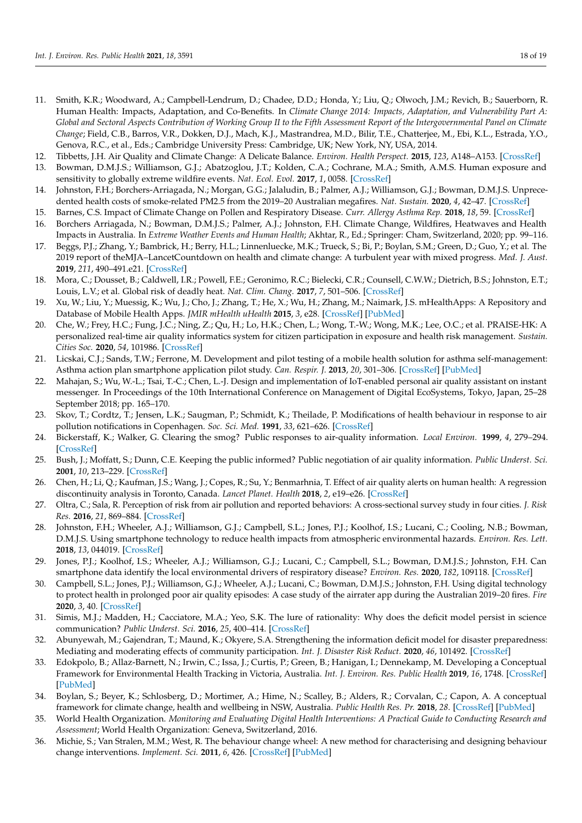- <span id="page-17-0"></span>11. Smith, K.R.; Woodward, A.; Campbell-Lendrum, D.; Chadee, D.D.; Honda, Y.; Liu, Q.; Olwoch, J.M.; Revich, B.; Sauerborn, R. Human Health: Impacts, Adaptation, and Co-Benefits. In *Climate Change 2014: Impacts, Adaptation, and Vulnerability Part A: Global and Sectoral Aspects Contribution of Working Group II to the Fifth Assessment Report of the Intergovernmental Panel on Climate Change*; Field, C.B., Barros, V.R., Dokken, D.J., Mach, K.J., Mastrandrea, M.D., Bilir, T.E., Chatterjee, M., Ebi, K.L., Estrada, Y.O., Genova, R.C., et al., Eds.; Cambridge University Press: Cambridge, UK; New York, NY, USA, 2014.
- <span id="page-17-1"></span>12. Tibbetts, J.H. Air Quality and Climate Change: A Delicate Balance. *Environ. Health Perspect.* **2015**, *123*, A148–A153. [\[CrossRef\]](http://doi.org/10.1289/ehp.123-A148)
- <span id="page-17-2"></span>13. Bowman, D.M.J.S.; Williamson, G.J.; Abatzoglou, J.T.; Kolden, C.A.; Cochrane, M.A.; Smith, A.M.S. Human exposure and sensitivity to globally extreme wildfire events. *Nat. Ecol. Evol.* **2017**, *1*, 0058. [\[CrossRef\]](http://doi.org/10.1038/s41559-016-0058)
- <span id="page-17-3"></span>14. Johnston, F.H.; Borchers-Arriagada, N.; Morgan, G.G.; Jalaludin, B.; Palmer, A.J.; Williamson, G.J.; Bowman, D.M.J.S. Unprecedented health costs of smoke-related PM2.5 from the 2019–20 Australian megafires. *Nat. Sustain.* **2020**, *4*, 42–47. [\[CrossRef\]](http://doi.org/10.1038/s41893-020-00610-5)
- <span id="page-17-4"></span>15. Barnes, C.S. Impact of Climate Change on Pollen and Respiratory Disease. *Curr. Allergy Asthma Rep.* **2018**, *18*, 59. [\[CrossRef\]](http://doi.org/10.1007/s11882-018-0813-7)
- <span id="page-17-5"></span>16. Borchers Arriagada, N.; Bowman, D.M.J.S.; Palmer, A.J.; Johnston, F.H. Climate Change, Wildfires, Heatwaves and Health Impacts in Australia. In *Extreme Weather Events and Human Health*; Akhtar, R., Ed.; Springer: Cham, Switzerland, 2020; pp. 99–116.
- 17. Beggs, P.J.; Zhang, Y.; Bambrick, H.; Berry, H.L.; Linnenluecke, M.K.; Trueck, S.; Bi, P.; Boylan, S.M.; Green, D.; Guo, Y.; et al. The 2019 report of theMJA–LancetCountdown on health and climate change: A turbulent year with mixed progress. *Med. J. Aust.* **2019**, *211*, 490–491.e21. [\[CrossRef\]](http://doi.org/10.5694/mja2.50405)
- <span id="page-17-6"></span>18. Mora, C.; Dousset, B.; Caldwell, I.R.; Powell, F.E.; Geronimo, R.C.; Bielecki, C.R.; Counsell, C.W.W.; Dietrich, B.S.; Johnston, E.T.; Louis, L.V.; et al. Global risk of deadly heat. *Nat. Clim. Chang.* **2017**, *7*, 501–506. [\[CrossRef\]](http://doi.org/10.1038/nclimate3322)
- <span id="page-17-7"></span>19. Xu, W.; Liu, Y.; Muessig, K.; Wu, J.; Cho, J.; Zhang, T.; He, X.; Wu, H.; Zhang, M.; Naimark, J.S. mHealthApps: A Repository and Database of Mobile Health Apps. *JMIR mHealth uHealth* **2015**, *3*, e28. [\[CrossRef\]](http://doi.org/10.2196/mhealth.4026) [\[PubMed\]](http://www.ncbi.nlm.nih.gov/pubmed/25786060)
- <span id="page-17-8"></span>20. Che, W.; Frey, H.C.; Fung, J.C.; Ning, Z.; Qu, H.; Lo, H.K.; Chen, L.; Wong, T.-W.; Wong, M.K.; Lee, O.C.; et al. PRAISE-HK: A personalized real-time air quality informatics system for citizen participation in exposure and health risk management. *Sustain. Cities Soc.* **2020**, *54*, 101986. [\[CrossRef\]](http://doi.org/10.1016/j.scs.2019.101986)
- <span id="page-17-12"></span>21. Licskai, C.J.; Sands, T.W.; Ferrone, M. Development and pilot testing of a mobile health solution for asthma self-management: Asthma action plan smartphone application pilot study. *Can. Respir. J.* **2013**, *20*, 301–306. [\[CrossRef\]](http://doi.org/10.1155/2013/906710) [\[PubMed\]](http://www.ncbi.nlm.nih.gov/pubmed/23936890)
- <span id="page-17-9"></span>22. Mahajan, S.; Wu, W.-L.; Tsai, T.-C.; Chen, L.-J. Design and implementation of IoT-enabled personal air quality assistant on instant messenger. In Proceedings of the 10th International Conference on Management of Digital EcoSystems, Tokyo, Japan, 25–28 September 2018; pp. 165–170.
- <span id="page-17-10"></span>23. Skov, T.; Cordtz, T.; Jensen, L.K.; Saugman, P.; Schmidt, K.; Theilade, P. Modifications of health behaviour in response to air pollution notifications in Copenhagen. *Soc. Sci. Med.* **1991**, *33*, 621–626. [\[CrossRef\]](http://doi.org/10.1016/0277-9536(91)90220-7)
- <span id="page-17-22"></span>24. Bickerstaff, K.; Walker, G. Clearing the smog? Public responses to air-quality information. *Local Environ.* **1999**, *4*, 279–294. [\[CrossRef\]](http://doi.org/10.1080/13549839908725600)
- 25. Bush, J.; Moffatt, S.; Dunn, C.E. Keeping the public informed? Public negotiation of air quality information. *Public Underst. Sci.* **2001**, *10*, 213–229. [\[CrossRef\]](http://doi.org/10.1088/0963-6625/10/2/304)
- 26. Chen, H.; Li, Q.; Kaufman, J.S.; Wang, J.; Copes, R.; Su, Y.; Benmarhnia, T. Effect of air quality alerts on human health: A regression discontinuity analysis in Toronto, Canada. *Lancet Planet. Health* **2018**, *2*, e19–e26. [\[CrossRef\]](http://doi.org/10.1016/S2542-5196(17)30185-7)
- <span id="page-17-11"></span>27. Oltra, C.; Sala, R. Perception of risk from air pollution and reported behaviors: A cross-sectional survey study in four cities. *J. Risk Res.* **2016**, *21*, 869–884. [\[CrossRef\]](http://doi.org/10.1080/13669877.2016.1264446)
- <span id="page-17-13"></span>28. Johnston, F.H.; Wheeler, A.J.; Williamson, G.J.; Campbell, S.L.; Jones, P.J.; Koolhof, I.S.; Lucani, C.; Cooling, N.B.; Bowman, D.M.J.S. Using smartphone technology to reduce health impacts from atmospheric environmental hazards. *Environ. Res. Lett.* **2018**, *13*, 044019. [\[CrossRef\]](http://doi.org/10.1088/1748-9326/aab1e6)
- <span id="page-17-17"></span>29. Jones, P.J.; Koolhof, I.S.; Wheeler, A.J.; Williamson, G.J.; Lucani, C.; Campbell, S.L.; Bowman, D.M.J.S.; Johnston, F.H. Can smartphone data identify the local environmental drivers of respiratory disease? *Environ. Res.* **2020**, *182*, 109118. [\[CrossRef\]](http://doi.org/10.1016/j.envres.2020.109118)
- <span id="page-17-14"></span>30. Campbell, S.L.; Jones, P.J.; Williamson, G.J.; Wheeler, A.J.; Lucani, C.; Bowman, D.M.J.S.; Johnston, F.H. Using digital technology to protect health in prolonged poor air quality episodes: A case study of the airrater app during the Australian 2019–20 fires. *Fire* **2020**, *3*, 40. [\[CrossRef\]](http://doi.org/10.3390/fire3030040)
- <span id="page-17-15"></span>31. Simis, M.J.; Madden, H.; Cacciatore, M.A.; Yeo, S.K. The lure of rationality: Why does the deficit model persist in science communication? *Public Underst. Sci.* **2016**, *25*, 400–414. [\[CrossRef\]](http://doi.org/10.1177/0963662516629749)
- <span id="page-17-16"></span>32. Abunyewah, M.; Gajendran, T.; Maund, K.; Okyere, S.A. Strengthening the information deficit model for disaster preparedness: Mediating and moderating effects of community participation. *Int. J. Disaster Risk Reduct.* **2020**, *46*, 101492. [\[CrossRef\]](http://doi.org/10.1016/j.ijdrr.2020.101492)
- <span id="page-17-18"></span>33. Edokpolo, B.; Allaz-Barnett, N.; Irwin, C.; Issa, J.; Curtis, P.; Green, B.; Hanigan, I.; Dennekamp, M. Developing a Conceptual Framework for Environmental Health Tracking in Victoria, Australia. *Int. J. Environ. Res. Public Health* **2019**, *16*, 1748. [\[CrossRef\]](http://doi.org/10.3390/ijerph16101748) [\[PubMed\]](http://www.ncbi.nlm.nih.gov/pubmed/31108844)
- <span id="page-17-19"></span>34. Boylan, S.; Beyer, K.; Schlosberg, D.; Mortimer, A.; Hime, N.; Scalley, B.; Alders, R.; Corvalan, C.; Capon, A. A conceptual framework for climate change, health and wellbeing in NSW, Australia. *Public Health Res. Pr.* **2018**, *28*. [\[CrossRef\]](http://doi.org/10.17061/phrp2841826) [\[PubMed\]](http://www.ncbi.nlm.nih.gov/pubmed/30652186)
- <span id="page-17-20"></span>35. World Health Organization. *Monitoring and Evaluating Digital Health Interventions: A Practical Guide to Conducting Research and Assessment*; World Health Organization: Geneva, Switzerland, 2016.
- <span id="page-17-21"></span>36. Michie, S.; Van Stralen, M.M.; West, R. The behaviour change wheel: A new method for characterising and designing behaviour change interventions. *Implement. Sci.* **2011**, *6*, 426. [\[CrossRef\]](http://doi.org/10.1186/1748-5908-6-42) [\[PubMed\]](http://www.ncbi.nlm.nih.gov/pubmed/21513547)